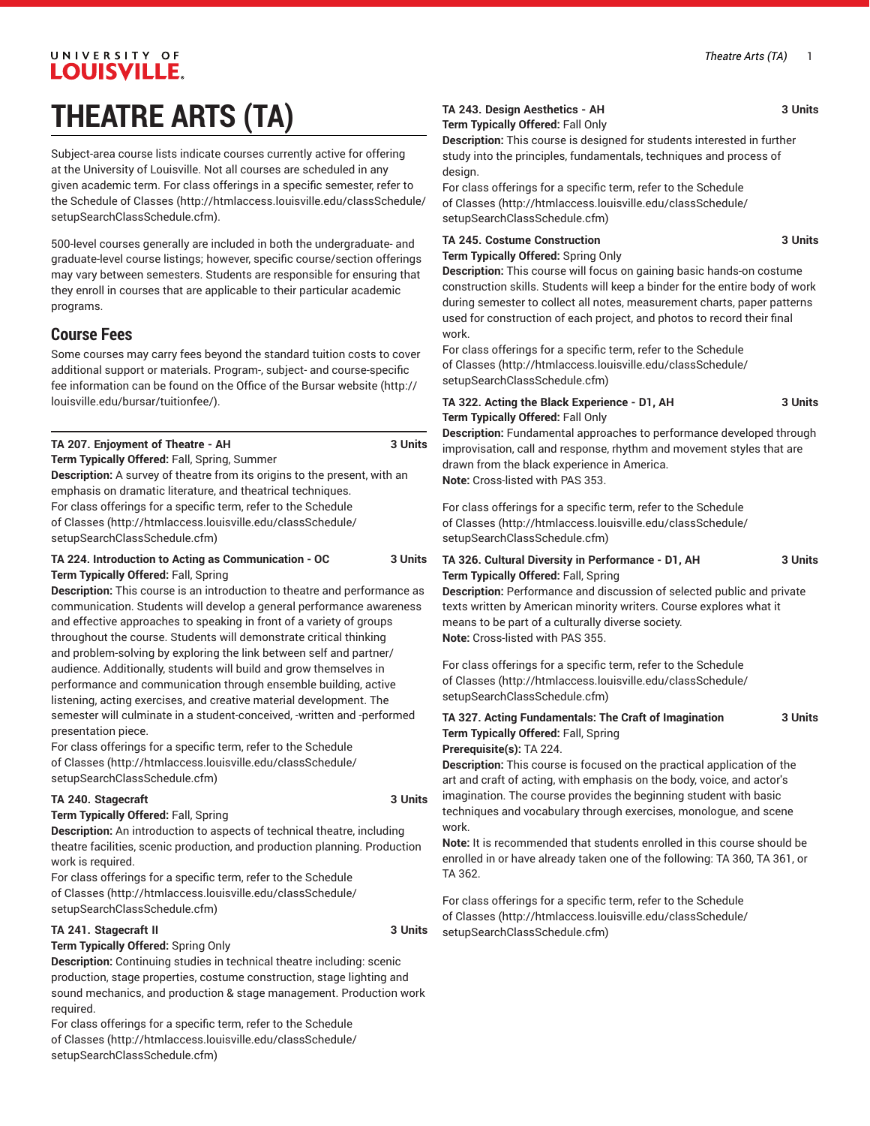## UNIVERSITY OF LOUISVILLE. **THEATRE ARTS (TA)**

Subject-area course lists indicate courses currently active for offering at the University of Louisville. Not all courses are scheduled in any given academic term. For class offerings in a specific semester, refer to the [Schedule of Classes](http://htmlaccess.louisville.edu/classSchedule/setupSearchClassSchedule.cfm) ([http://htmlaccess.louisville.edu/classSchedule/](http://htmlaccess.louisville.edu/classSchedule/setupSearchClassSchedule.cfm) [setupSearchClassSchedule.cfm\)](http://htmlaccess.louisville.edu/classSchedule/setupSearchClassSchedule.cfm).

500-level courses generally are included in both the undergraduate- and graduate-level course listings; however, specific course/section offerings may vary between semesters. Students are responsible for ensuring that they enroll in courses that are applicable to their particular academic programs.

#### **Course Fees**

Some courses may carry fees beyond the standard tuition costs to cover additional support or materials. Program-, subject- and course-specific fee information can be found on the [Office of the Bursar website](http://louisville.edu/bursar/tuitionfee/) ([http://](http://louisville.edu/bursar/tuitionfee/) [louisville.edu/bursar/tuitionfee/](http://louisville.edu/bursar/tuitionfee/)).

| TA 207. Enjoyment of Theatre - AH | 3 Units |
|-----------------------------------|---------|
|                                   |         |

**Term Typically Offered:** Fall, Spring, Summer

**Description:** A survey of theatre from its origins to the present, with an emphasis on dramatic literature, and theatrical techniques. For class offerings for a specific term, refer to the [Schedule](http://htmlaccess.louisville.edu/classSchedule/setupSearchClassSchedule.cfm) [of Classes \(http://htmlaccess.louisville.edu/classSchedule/](http://htmlaccess.louisville.edu/classSchedule/setupSearchClassSchedule.cfm) [setupSearchClassSchedule.cfm\)](http://htmlaccess.louisville.edu/classSchedule/setupSearchClassSchedule.cfm)

#### **TA 224. Introduction to Acting as Communication - OC 3 Units Term Typically Offered:** Fall, Spring

**Description:** This course is an introduction to theatre and performance as communication. Students will develop a general performance awareness and effective approaches to speaking in front of a variety of groups throughout the course. Students will demonstrate critical thinking and problem-solving by exploring the link between self and partner/ audience. Additionally, students will build and grow themselves in performance and communication through ensemble building, active listening, acting exercises, and creative material development. The semester will culminate in a student-conceived, -written and -performed presentation piece.

For class offerings for a specific term, refer to the [Schedule](http://htmlaccess.louisville.edu/classSchedule/setupSearchClassSchedule.cfm) [of Classes \(http://htmlaccess.louisville.edu/classSchedule/](http://htmlaccess.louisville.edu/classSchedule/setupSearchClassSchedule.cfm) [setupSearchClassSchedule.cfm\)](http://htmlaccess.louisville.edu/classSchedule/setupSearchClassSchedule.cfm)

#### **TA 240. Stagecraft 3 Units**

**Term Typically Offered:** Fall, Spring **Description:** An introduction to aspects of technical theatre, including theatre facilities, scenic production, and production planning. Production work is required.

For class offerings for a specific term, refer to the [Schedule](http://htmlaccess.louisville.edu/classSchedule/setupSearchClassSchedule.cfm) [of Classes \(http://htmlaccess.louisville.edu/classSchedule/](http://htmlaccess.louisville.edu/classSchedule/setupSearchClassSchedule.cfm) [setupSearchClassSchedule.cfm\)](http://htmlaccess.louisville.edu/classSchedule/setupSearchClassSchedule.cfm)

#### **TA 241. Stagecraft II 3 Units**

**Term Typically Offered:** Spring Only

**Description:** Continuing studies in technical theatre including: scenic production, stage properties, costume construction, stage lighting and sound mechanics, and production & stage management. Production work required.

For class offerings for a specific term, refer to the [Schedule](http://htmlaccess.louisville.edu/classSchedule/setupSearchClassSchedule.cfm) [of Classes \(http://htmlaccess.louisville.edu/classSchedule/](http://htmlaccess.louisville.edu/classSchedule/setupSearchClassSchedule.cfm) [setupSearchClassSchedule.cfm\)](http://htmlaccess.louisville.edu/classSchedule/setupSearchClassSchedule.cfm)

### **TA 243. Design Aesthetics - AH 3 Units**

**Term Typically Offered:** Fall Only

**Description:** This course is designed for students interested in further study into the principles, fundamentals, techniques and process of design.

For class offerings for a specific term, refer to the [Schedule](http://htmlaccess.louisville.edu/classSchedule/setupSearchClassSchedule.cfm) [of Classes](http://htmlaccess.louisville.edu/classSchedule/setupSearchClassSchedule.cfm) ([http://htmlaccess.louisville.edu/classSchedule/](http://htmlaccess.louisville.edu/classSchedule/setupSearchClassSchedule.cfm) [setupSearchClassSchedule.cfm\)](http://htmlaccess.louisville.edu/classSchedule/setupSearchClassSchedule.cfm)

**TA 245. Costume Construction 3 Units**

**Term Typically Offered:** Spring Only

**Description:** This course will focus on gaining basic hands-on costume construction skills. Students will keep a binder for the entire body of work during semester to collect all notes, measurement charts, paper patterns used for construction of each project, and photos to record their final work.

For class offerings for a specific term, refer to the [Schedule](http://htmlaccess.louisville.edu/classSchedule/setupSearchClassSchedule.cfm) [of Classes](http://htmlaccess.louisville.edu/classSchedule/setupSearchClassSchedule.cfm) ([http://htmlaccess.louisville.edu/classSchedule/](http://htmlaccess.louisville.edu/classSchedule/setupSearchClassSchedule.cfm) [setupSearchClassSchedule.cfm\)](http://htmlaccess.louisville.edu/classSchedule/setupSearchClassSchedule.cfm)

#### **TA 322. Acting the Black Experience - D1, AH 3 Units Term Typically Offered:** Fall Only

**Description:** Fundamental approaches to performance developed through improvisation, call and response, rhythm and movement styles that are drawn from the black experience in America. **Note:** Cross-listed with PAS 353.

For class offerings for a specific term, refer to the [Schedule](http://htmlaccess.louisville.edu/classSchedule/setupSearchClassSchedule.cfm) [of Classes](http://htmlaccess.louisville.edu/classSchedule/setupSearchClassSchedule.cfm) ([http://htmlaccess.louisville.edu/classSchedule/](http://htmlaccess.louisville.edu/classSchedule/setupSearchClassSchedule.cfm) [setupSearchClassSchedule.cfm\)](http://htmlaccess.louisville.edu/classSchedule/setupSearchClassSchedule.cfm)

**TA 326. Cultural Diversity in Performance - D1, AH 3 Units Term Typically Offered:** Fall, Spring

**Description:** Performance and discussion of selected public and private texts written by American minority writers. Course explores what it means to be part of a culturally diverse society. **Note:** Cross-listed with PAS 355.

For class offerings for a specific term, refer to the [Schedule](http://htmlaccess.louisville.edu/classSchedule/setupSearchClassSchedule.cfm) [of Classes](http://htmlaccess.louisville.edu/classSchedule/setupSearchClassSchedule.cfm) ([http://htmlaccess.louisville.edu/classSchedule/](http://htmlaccess.louisville.edu/classSchedule/setupSearchClassSchedule.cfm) [setupSearchClassSchedule.cfm\)](http://htmlaccess.louisville.edu/classSchedule/setupSearchClassSchedule.cfm)

| TA 327. Acting Fundamentals: The Craft of Imagination | 3 Units |
|-------------------------------------------------------|---------|
| <b>Term Typically Offered: Fall, Spring</b>           |         |
| <b>Prerequisite(s): TA 224.</b>                       |         |

**Description:** This course is focused on the practical application of the art and craft of acting, with emphasis on the body, voice, and actor's imagination. The course provides the beginning student with basic techniques and vocabulary through exercises, monologue, and scene work.

**Note:** It is recommended that students enrolled in this course should be enrolled in or have already taken one of the following: TA 360, TA 361, or TA 362.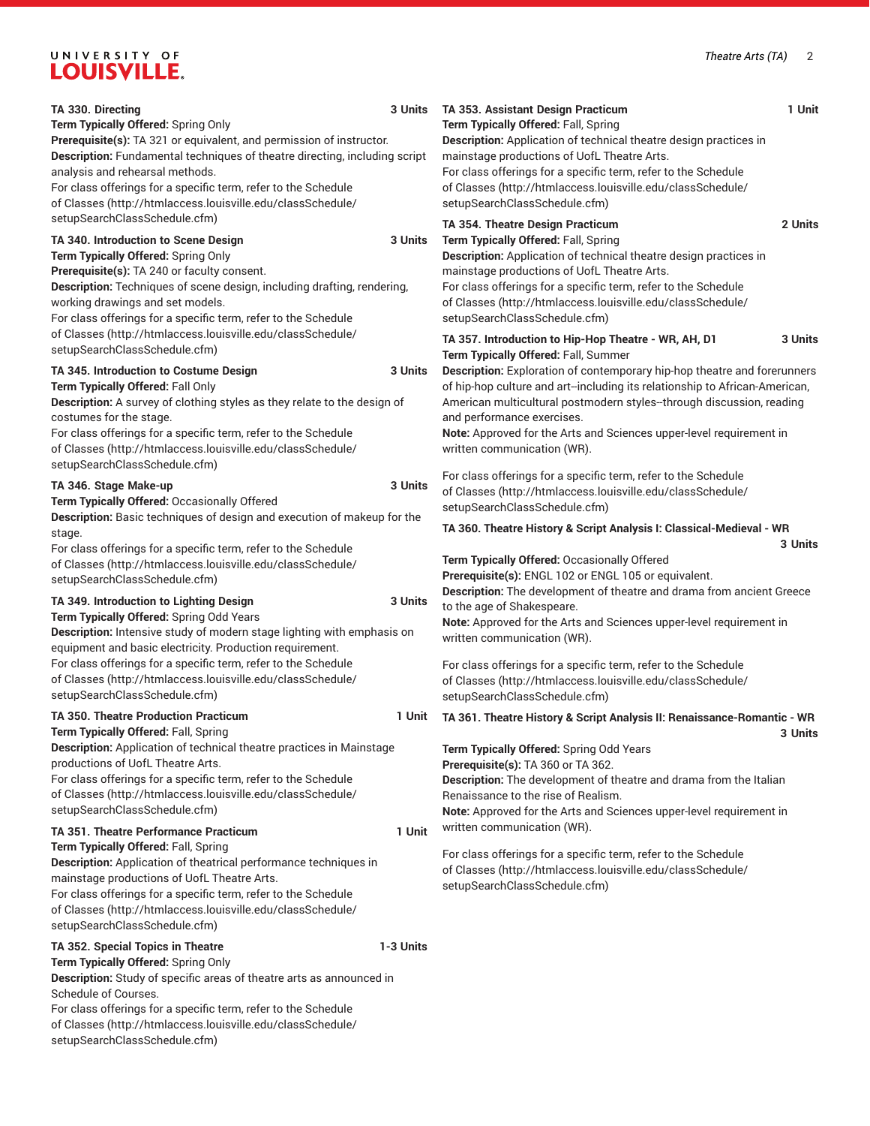## UNIVERSITY OF LOUISVILLE.

| TA 330. Directing<br>Term Typically Offered: Spring Only<br>Prerequisite(s): TA 321 or equivalent, and permission of instructor.<br>Description: Fundamental techniques of theatre directing, including script<br>analysis and rehearsal methods.<br>For class offerings for a specific term, refer to the Schedule<br>of Classes (http://htmlaccess.louisville.edu/classSchedule/<br>setupSearchClassSchedule.cfm)          | 3 Units   | TA 353. Assistant Design Practicum<br>Term Typically Offered: Fall, Spring<br>Description: Application of technical theatre design practices in<br>mainstage productions of UofL Theatre Arts.<br>For class offerings for a specific term, refer to the Schedule<br>of Classes (http://htmlaccess.louisville.edu/classSchedule/<br>setupSearchClassSchedule.cfm)                                                                                                    | 1 Unit  |
|------------------------------------------------------------------------------------------------------------------------------------------------------------------------------------------------------------------------------------------------------------------------------------------------------------------------------------------------------------------------------------------------------------------------------|-----------|---------------------------------------------------------------------------------------------------------------------------------------------------------------------------------------------------------------------------------------------------------------------------------------------------------------------------------------------------------------------------------------------------------------------------------------------------------------------|---------|
| TA 340. Introduction to Scene Design<br>Term Typically Offered: Spring Only<br>Prerequisite(s): TA 240 or faculty consent.<br>Description: Techniques of scene design, including drafting, rendering,<br>working drawings and set models.<br>For class offerings for a specific term, refer to the Schedule                                                                                                                  | 3 Units   | TA 354. Theatre Design Practicum<br>Term Typically Offered: Fall, Spring<br>Description: Application of technical theatre design practices in<br>mainstage productions of UofL Theatre Arts.<br>For class offerings for a specific term, refer to the Schedule<br>of Classes (http://htmlaccess.louisville.edu/classSchedule/<br>setupSearchClassSchedule.cfm)                                                                                                      | 2 Units |
| of Classes (http://htmlaccess.louisville.edu/classSchedule/<br>setupSearchClassSchedule.cfm)<br>TA 345. Introduction to Costume Design<br>Term Typically Offered: Fall Only<br>Description: A survey of clothing styles as they relate to the design of<br>costumes for the stage.<br>For class offerings for a specific term, refer to the Schedule<br>of Classes (http://htmlaccess.louisville.edu/classSchedule/          | 3 Units   | TA 357. Introduction to Hip-Hop Theatre - WR, AH, D1<br>Term Typically Offered: Fall, Summer<br>Description: Exploration of contemporary hip-hop theatre and forerunners<br>of hip-hop culture and art--including its relationship to African-American,<br>American multicultural postmodern styles-through discussion, reading<br>and performance exercises.<br>Note: Approved for the Arts and Sciences upper-level requirement in<br>written communication (WR). | 3 Units |
| setupSearchClassSchedule.cfm)<br>TA 346. Stage Make-up<br>Term Typically Offered: Occasionally Offered<br>Description: Basic techniques of design and execution of makeup for the<br>stage.<br>For class offerings for a specific term, refer to the Schedule<br>of Classes (http://htmlaccess.louisville.edu/classSchedule/                                                                                                 | 3 Units   | For class offerings for a specific term, refer to the Schedule<br>of Classes (http://htmlaccess.louisville.edu/classSchedule/<br>setupSearchClassSchedule.cfm)<br>TA 360. Theatre History & Script Analysis I: Classical-Medieval - WR<br>Term Typically Offered: Occasionally Offered                                                                                                                                                                              | 3 Units |
| setupSearchClassSchedule.cfm)<br>TA 349. Introduction to Lighting Design<br>Term Typically Offered: Spring Odd Years<br>Description: Intensive study of modern stage lighting with emphasis on<br>equipment and basic electricity. Production requirement.<br>For class offerings for a specific term, refer to the Schedule<br>of Classes (http://htmlaccess.louisville.edu/classSchedule/<br>setupSearchClassSchedule.cfm) | 3 Units   | Prerequisite(s): ENGL 102 or ENGL 105 or equivalent.<br>Description: The development of theatre and drama from ancient Greece<br>to the age of Shakespeare.<br>Note: Approved for the Arts and Sciences upper-level requirement in<br>written communication (WR).<br>For class offerings for a specific term, refer to the Schedule<br>of Classes (http://htmlaccess.louisville.edu/classSchedule/<br>setupSearchClassSchedule.cfm)                                 |         |
| <b>TA 350. Theatre Production Practicum</b><br>Term Typically Offered: Fall, Spring<br>Description: Application of technical theatre practices in Mainstage<br>productions of UofL Theatre Arts.<br>For class offerings for a specific term, refer to the Schedule<br>of Classes (http://htmlaccess.louisville.edu/classSchedule/<br>setupSearchClassSchedule.cfm)                                                           | 1 Unit    | TA 361. Theatre History & Script Analysis II: Renaissance-Romantic - WR<br>Term Typically Offered: Spring Odd Years<br>Prerequisite(s): TA 360 or TA 362.<br>Description: The development of theatre and drama from the Italian<br>Renaissance to the rise of Realism.<br>Note: Approved for the Arts and Sciences upper-level requirement in                                                                                                                       | 3 Units |
| <b>TA 351. Theatre Performance Practicum</b><br>Term Typically Offered: Fall, Spring<br>Description: Application of theatrical performance techniques in<br>mainstage productions of UofL Theatre Arts.<br>For class offerings for a specific term, refer to the Schedule<br>of Classes (http://htmlaccess.louisville.edu/classSchedule/<br>setupSearchClassSchedule.cfm)                                                    | 1 Unit    | written communication (WR).<br>For class offerings for a specific term, refer to the Schedule<br>of Classes (http://htmlaccess.louisville.edu/classSchedule/<br>setupSearchClassSchedule.cfm)                                                                                                                                                                                                                                                                       |         |
| TA 352. Special Topics in Theatre<br>Term Typically Offered: Spring Only<br>Description: Study of specific areas of theatre arts as announced in<br>Schedule of Courses.<br>For class offerings for a specific term, refer to the Schedule<br>of Classes (http://htmlaccess.louisville.edu/classSchedule/<br>setupSearchClassSchedule.cfm)                                                                                   | 1-3 Units |                                                                                                                                                                                                                                                                                                                                                                                                                                                                     |         |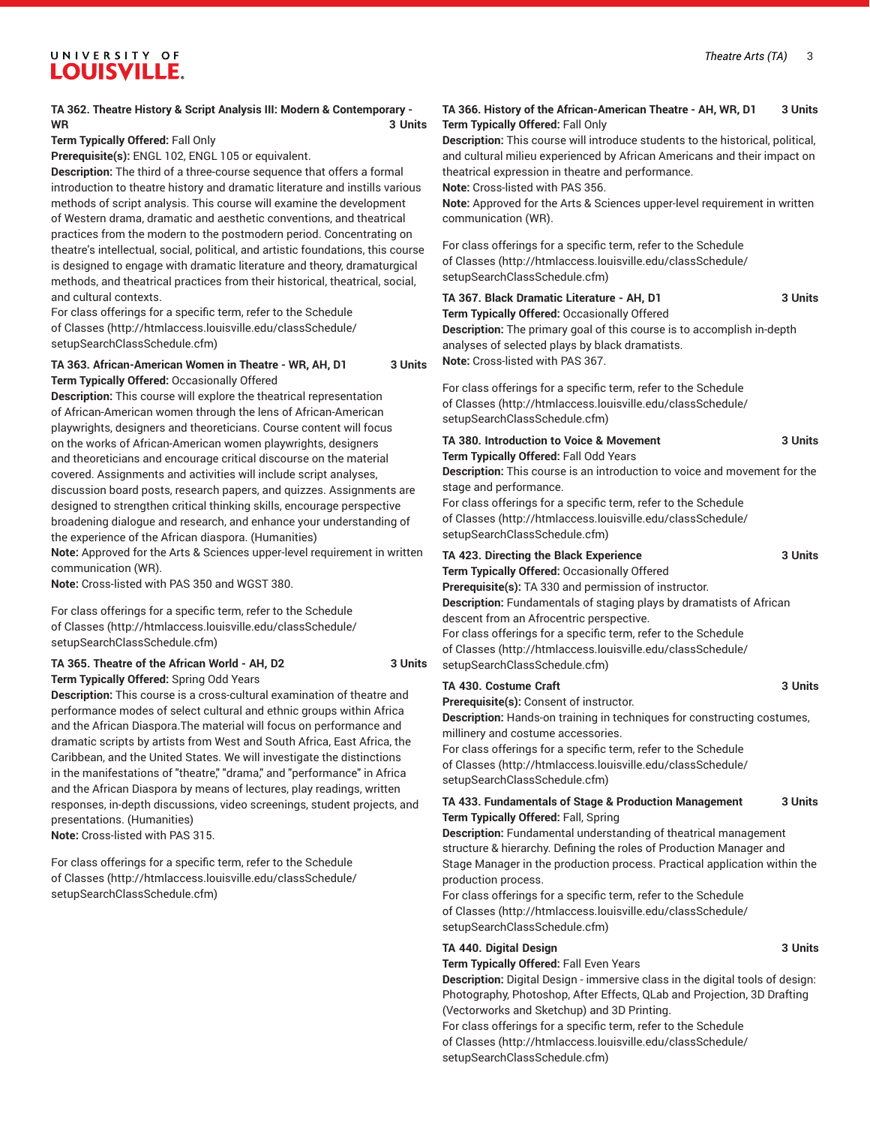#### UNIVERSITY OF **LOUISVILLE.**

#### **TA 362. Theatre History & Script Analysis III: Modern & Contemporary - WR 3 Units**

**Term Typically Offered:** Fall Only

**Prerequisite(s):** ENGL 102, ENGL 105 or equivalent.

**Description:** The third of a three-course sequence that offers a formal introduction to theatre history and dramatic literature and instills various methods of script analysis. This course will examine the development of Western drama, dramatic and aesthetic conventions, and theatrical practices from the modern to the postmodern period. Concentrating on theatre's intellectual, social, political, and artistic foundations, this course is designed to engage with dramatic literature and theory, dramaturgical methods, and theatrical practices from their historical, theatrical, social, and cultural contexts.

For class offerings for a specific term, refer to the [Schedule](http://htmlaccess.louisville.edu/classSchedule/setupSearchClassSchedule.cfm) [of Classes \(http://htmlaccess.louisville.edu/classSchedule/](http://htmlaccess.louisville.edu/classSchedule/setupSearchClassSchedule.cfm) [setupSearchClassSchedule.cfm\)](http://htmlaccess.louisville.edu/classSchedule/setupSearchClassSchedule.cfm)

#### **TA 363. African-American Women in Theatre - WR, AH, D1 3 Units Term Typically Offered:** Occasionally Offered

**Description:** This course will explore the theatrical representation of African-American women through the lens of African-American playwrights, designers and theoreticians. Course content will focus on the works of African-American women playwrights, designers and theoreticians and encourage critical discourse on the material covered. Assignments and activities will include script analyses, discussion board posts, research papers, and quizzes. Assignments are designed to strengthen critical thinking skills, encourage perspective broadening dialogue and research, and enhance your understanding of the experience of the African diaspora. (Humanities)

**Note:** Approved for the Arts & Sciences upper-level requirement in written communication (WR).

**Note:** Cross-listed with PAS 350 and WGST 380.

For class offerings for a specific term, refer to the [Schedule](http://htmlaccess.louisville.edu/classSchedule/setupSearchClassSchedule.cfm) [of Classes \(http://htmlaccess.louisville.edu/classSchedule/](http://htmlaccess.louisville.edu/classSchedule/setupSearchClassSchedule.cfm) [setupSearchClassSchedule.cfm\)](http://htmlaccess.louisville.edu/classSchedule/setupSearchClassSchedule.cfm)

#### **TA 365. Theatre of the African World - AH, D2 3 Units Term Typically Offered:** Spring Odd Years

**Description:** This course is a cross-cultural examination of theatre and performance modes of select cultural and ethnic groups within Africa and the African Diaspora.The material will focus on performance and dramatic scripts by artists from West and South Africa, East Africa, the Caribbean, and the United States. We will investigate the distinctions in the manifestations of "theatre," "drama," and "performance" in Africa and the African Diaspora by means of lectures, play readings, written responses, in-depth discussions, video screenings, student projects, and presentations. (Humanities) **Note:** Cross-listed with PAS 315.

For class offerings for a specific term, refer to the [Schedule](http://htmlaccess.louisville.edu/classSchedule/setupSearchClassSchedule.cfm) [of Classes \(http://htmlaccess.louisville.edu/classSchedule/](http://htmlaccess.louisville.edu/classSchedule/setupSearchClassSchedule.cfm) [setupSearchClassSchedule.cfm\)](http://htmlaccess.louisville.edu/classSchedule/setupSearchClassSchedule.cfm)

#### **TA 366. History of the African-American Theatre - AH, WR, D1 3 Units Term Typically Offered:** Fall Only

**Description:** This course will introduce students to the historical, political, and cultural milieu experienced by African Americans and their impact on theatrical expression in theatre and performance.

**Note:** Cross-listed with PAS 356.

**Note:** Approved for the Arts & Sciences upper-level requirement in written communication (WR).

For class offerings for a specific term, refer to the [Schedule](http://htmlaccess.louisville.edu/classSchedule/setupSearchClassSchedule.cfm) [of Classes](http://htmlaccess.louisville.edu/classSchedule/setupSearchClassSchedule.cfm) ([http://htmlaccess.louisville.edu/classSchedule/](http://htmlaccess.louisville.edu/classSchedule/setupSearchClassSchedule.cfm) [setupSearchClassSchedule.cfm\)](http://htmlaccess.louisville.edu/classSchedule/setupSearchClassSchedule.cfm)

| TA 367. Black Dramatic Literature - AH. D1          | 3 Units |
|-----------------------------------------------------|---------|
| <b>Term Typically Offered: Occasionally Offered</b> |         |

**Description:** The primary goal of this course is to accomplish in-depth analyses of selected plays by black dramatists. **Note:** Cross-listed with PAS 367.

For class offerings for a specific term, refer to the [Schedule](http://htmlaccess.louisville.edu/classSchedule/setupSearchClassSchedule.cfm) [of Classes](http://htmlaccess.louisville.edu/classSchedule/setupSearchClassSchedule.cfm) ([http://htmlaccess.louisville.edu/classSchedule/](http://htmlaccess.louisville.edu/classSchedule/setupSearchClassSchedule.cfm) [setupSearchClassSchedule.cfm\)](http://htmlaccess.louisville.edu/classSchedule/setupSearchClassSchedule.cfm)

| TA 380. Introduction to Voice & Movement<br><b>Term Typically Offered: Fall Odd Years</b><br>Description: This course is an introduction to voice and movement for the<br>stage and performance.<br>For class offerings for a specific term, refer to the Schedule<br>of Classes (http://htmlaccess.louisville.edu/classSchedule/<br>setupSearchClassSchedule.cfm) | 3 Units |
|--------------------------------------------------------------------------------------------------------------------------------------------------------------------------------------------------------------------------------------------------------------------------------------------------------------------------------------------------------------------|---------|
| TA 423. Directing the Black Experience<br>Term Typically Offered: Occasionally Offered<br><b>Prerequisite(s):</b> TA 330 and permission of instructor.                                                                                                                                                                                                             | 3 Units |

**Description:** Fundamentals of staging plays by dramatists of African descent from an Afrocentric perspective. For class offerings for a specific term, refer to the [Schedule](http://htmlaccess.louisville.edu/classSchedule/setupSearchClassSchedule.cfm) [of Classes](http://htmlaccess.louisville.edu/classSchedule/setupSearchClassSchedule.cfm) ([http://htmlaccess.louisville.edu/classSchedule/](http://htmlaccess.louisville.edu/classSchedule/setupSearchClassSchedule.cfm) [setupSearchClassSchedule.cfm\)](http://htmlaccess.louisville.edu/classSchedule/setupSearchClassSchedule.cfm)

#### **TA 430. Costume Craft 3 Units**

**Prerequisite(s):** Consent of instructor.

**Description:** Hands-on training in techniques for constructing costumes, millinery and costume accessories.

For class offerings for a specific term, refer to the [Schedule](http://htmlaccess.louisville.edu/classSchedule/setupSearchClassSchedule.cfm) [of Classes](http://htmlaccess.louisville.edu/classSchedule/setupSearchClassSchedule.cfm) ([http://htmlaccess.louisville.edu/classSchedule/](http://htmlaccess.louisville.edu/classSchedule/setupSearchClassSchedule.cfm) [setupSearchClassSchedule.cfm\)](http://htmlaccess.louisville.edu/classSchedule/setupSearchClassSchedule.cfm)

#### **TA 433. Fundamentals of Stage & Production Management 3 Units Term Typically Offered:** Fall, Spring

**Description:** Fundamental understanding of theatrical management structure & hierarchy. Defining the roles of Production Manager and Stage Manager in the production process. Practical application within the production process.

For class offerings for a specific term, refer to the [Schedule](http://htmlaccess.louisville.edu/classSchedule/setupSearchClassSchedule.cfm) [of Classes](http://htmlaccess.louisville.edu/classSchedule/setupSearchClassSchedule.cfm) ([http://htmlaccess.louisville.edu/classSchedule/](http://htmlaccess.louisville.edu/classSchedule/setupSearchClassSchedule.cfm) [setupSearchClassSchedule.cfm\)](http://htmlaccess.louisville.edu/classSchedule/setupSearchClassSchedule.cfm)

#### **TA 440. Digital Design 3 Units**

#### **Term Typically Offered:** Fall Even Years

**Description:** Digital Design - immersive class in the digital tools of design: Photography, Photoshop, After Effects, QLab and Projection, 3D Drafting (Vectorworks and Sketchup) and 3D Printing.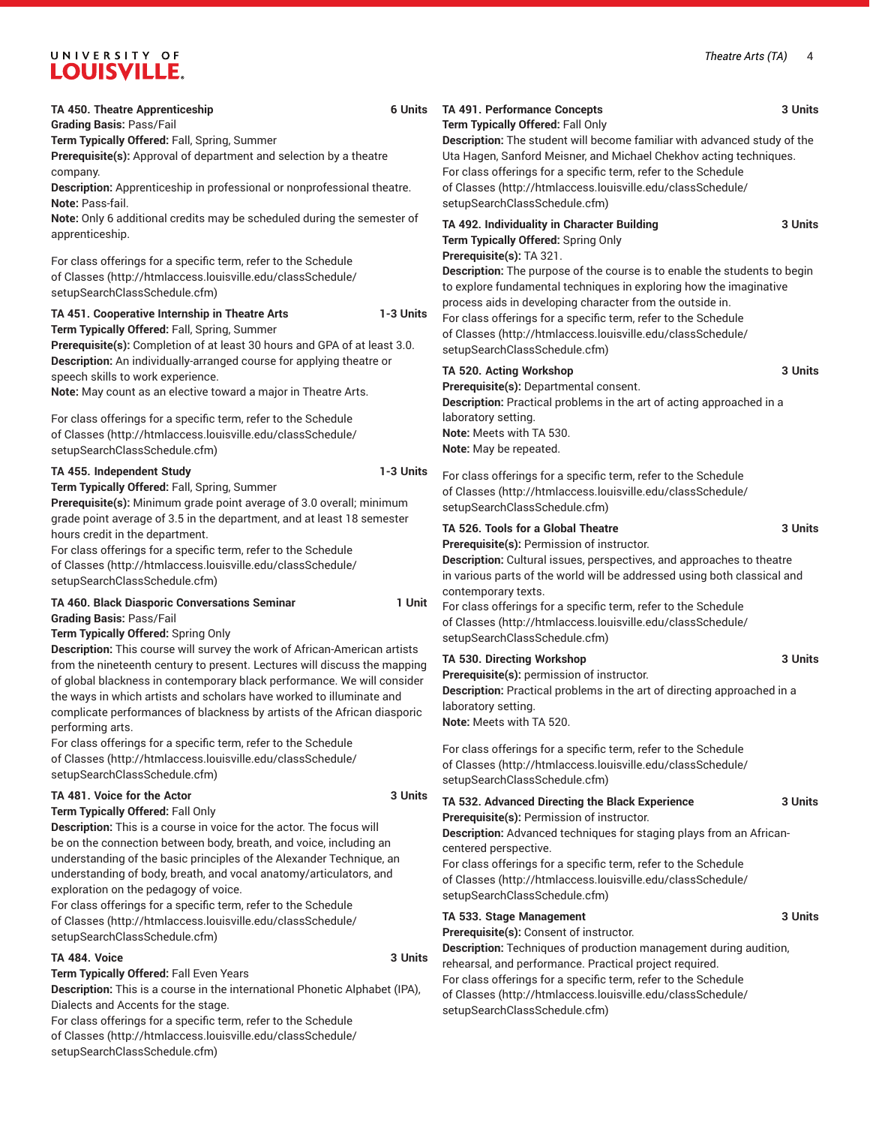# UNIVERSITY OF LOUISVILLE.

| <b>TA 450. Theatre Apprenticeship</b><br><b>Grading Basis: Pass/Fail</b>                                                                                                                                                                                                                                                                                                                              | 6 Units   | TA 491. Performance Concepts<br>Term Typically Offered: Fall Only                                                                                                                                                                                                                                                                                                                                                 | 3 Units |
|-------------------------------------------------------------------------------------------------------------------------------------------------------------------------------------------------------------------------------------------------------------------------------------------------------------------------------------------------------------------------------------------------------|-----------|-------------------------------------------------------------------------------------------------------------------------------------------------------------------------------------------------------------------------------------------------------------------------------------------------------------------------------------------------------------------------------------------------------------------|---------|
| Term Typically Offered: Fall, Spring, Summer<br>Prerequisite(s): Approval of department and selection by a theatre<br>company.<br>Description: Apprenticeship in professional or nonprofessional theatre.<br>Note: Pass-fail.                                                                                                                                                                         |           | Description: The student will become familiar with advanced study of the<br>Uta Hagen, Sanford Meisner, and Michael Chekhov acting techniques.<br>For class offerings for a specific term, refer to the Schedule<br>of Classes (http://htmlaccess.louisville.edu/classSchedule/<br>setupSearchClassSchedule.cfm)                                                                                                  |         |
| Note: Only 6 additional credits may be scheduled during the semester of<br>apprenticeship.                                                                                                                                                                                                                                                                                                            |           | TA 492. Individuality in Character Building<br>Term Typically Offered: Spring Only                                                                                                                                                                                                                                                                                                                                | 3 Units |
| For class offerings for a specific term, refer to the Schedule<br>of Classes (http://htmlaccess.louisville.edu/classSchedule/<br>setupSearchClassSchedule.cfm)<br>TA 451. Cooperative Internship in Theatre Arts<br>Term Typically Offered: Fall, Spring, Summer<br>Prerequisite(s): Completion of at least 30 hours and GPA of at least 3.0.                                                         | 1-3 Units | Prerequisite(s): TA 321.<br><b>Description:</b> The purpose of the course is to enable the students to begin<br>to explore fundamental techniques in exploring how the imaginative<br>process aids in developing character from the outside in.<br>For class offerings for a specific term, refer to the Schedule<br>of Classes (http://htmlaccess.louisville.edu/classSchedule/<br>setupSearchClassSchedule.cfm) |         |
| Description: An individually-arranged course for applying theatre or<br>speech skills to work experience.<br>Note: May count as an elective toward a major in Theatre Arts.<br>For class offerings for a specific term, refer to the Schedule<br>of Classes (http://htmlaccess.louisville.edu/classSchedule/                                                                                          |           | TA 520. Acting Workshop<br>Prerequisite(s): Departmental consent.<br>Description: Practical problems in the art of acting approached in a<br>laboratory setting.<br>Note: Meets with TA 530.                                                                                                                                                                                                                      | 3 Units |
| setupSearchClassSchedule.cfm)<br>TA 455. Independent Study<br>Term Typically Offered: Fall, Spring, Summer<br>Prerequisite(s): Minimum grade point average of 3.0 overall; minimum                                                                                                                                                                                                                    | 1-3 Units | Note: May be repeated.<br>For class offerings for a specific term, refer to the Schedule<br>of Classes (http://htmlaccess.louisville.edu/classSchedule/<br>setupSearchClassSchedule.cfm)                                                                                                                                                                                                                          |         |
| grade point average of 3.5 in the department, and at least 18 semester<br>hours credit in the department.<br>For class offerings for a specific term, refer to the Schedule<br>of Classes (http://htmlaccess.louisville.edu/classSchedule/<br>setupSearchClassSchedule.cfm)                                                                                                                           |           | TA 526. Tools for a Global Theatre<br>Prerequisite(s): Permission of instructor.<br>Description: Cultural issues, perspectives, and approaches to theatre<br>in various parts of the world will be addressed using both classical and<br>contemporary texts.                                                                                                                                                      | 3 Units |
| TA 460. Black Diasporic Conversations Seminar<br><b>Grading Basis: Pass/Fail</b><br>Term Typically Offered: Spring Only<br>Description: This course will survey the work of African-American artists                                                                                                                                                                                                  | 1 Unit    | For class offerings for a specific term, refer to the Schedule<br>of Classes (http://htmlaccess.louisville.edu/classSchedule/<br>setupSearchClassSchedule.cfm)                                                                                                                                                                                                                                                    |         |
| from the nineteenth century to present. Lectures will discuss the mapping<br>of global blackness in contemporary black performance. We will consider<br>the ways in which artists and scholars have worked to illuminate and<br>complicate performances of blackness by artists of the African diasporic<br>performing arts.                                                                          |           | TA 530. Directing Workshop<br>Prerequisite(s): permission of instructor.<br>Description: Practical problems in the art of directing approached in a<br>laboratory setting.<br>Note: Meets with TA 520.                                                                                                                                                                                                            | 3 Units |
| For class offerings for a specific term, refer to the Schedule<br>of Classes (http://htmlaccess.louisville.edu/classSchedule/<br>setupSearchClassSchedule.cfm)                                                                                                                                                                                                                                        |           | For class offerings for a specific term, refer to the Schedule<br>of Classes (http://htmlaccess.louisville.edu/classSchedule/<br>setupSearchClassSchedule.cfm)                                                                                                                                                                                                                                                    |         |
| TA 481. Voice for the Actor<br>Term Typically Offered: Fall Only<br>Description: This is a course in voice for the actor. The focus will<br>be on the connection between body, breath, and voice, including an<br>understanding of the basic principles of the Alexander Technique, an<br>understanding of body, breath, and vocal anatomy/articulators, and<br>exploration on the pedagogy of voice. | 3 Units   | TA 532. Advanced Directing the Black Experience<br>Prerequisite(s): Permission of instructor.<br>Description: Advanced techniques for staging plays from an African-<br>centered perspective.<br>For class offerings for a specific term, refer to the Schedule<br>of Classes (http://htmlaccess.louisville.edu/classSchedule/<br>setupSearchClassSchedule.cfm)                                                   | 3 Units |
| For class offerings for a specific term, refer to the Schedule<br>of Classes (http://htmlaccess.louisville.edu/classSchedule/<br>setupSearchClassSchedule.cfm)                                                                                                                                                                                                                                        |           | TA 533. Stage Management<br>Prerequisite(s): Consent of instructor.                                                                                                                                                                                                                                                                                                                                               | 3 Units |
| TA 484. Voice<br>Term Typically Offered: Fall Even Years<br>Description: This is a course in the international Phonetic Alphabet (IPA),                                                                                                                                                                                                                                                               | 3 Units   | Description: Techniques of production management during audition,<br>rehearsal, and performance. Practical project required.<br>For class offerings for a specific term, refer to the Schedule<br>of Classes (http://htmlaccess.louisville.edu/classSchedule/                                                                                                                                                     |         |

[setupSearchClassSchedule.cfm\)](http://htmlaccess.louisville.edu/classSchedule/setupSearchClassSchedule.cfm)

Dialects and Accents for the stage.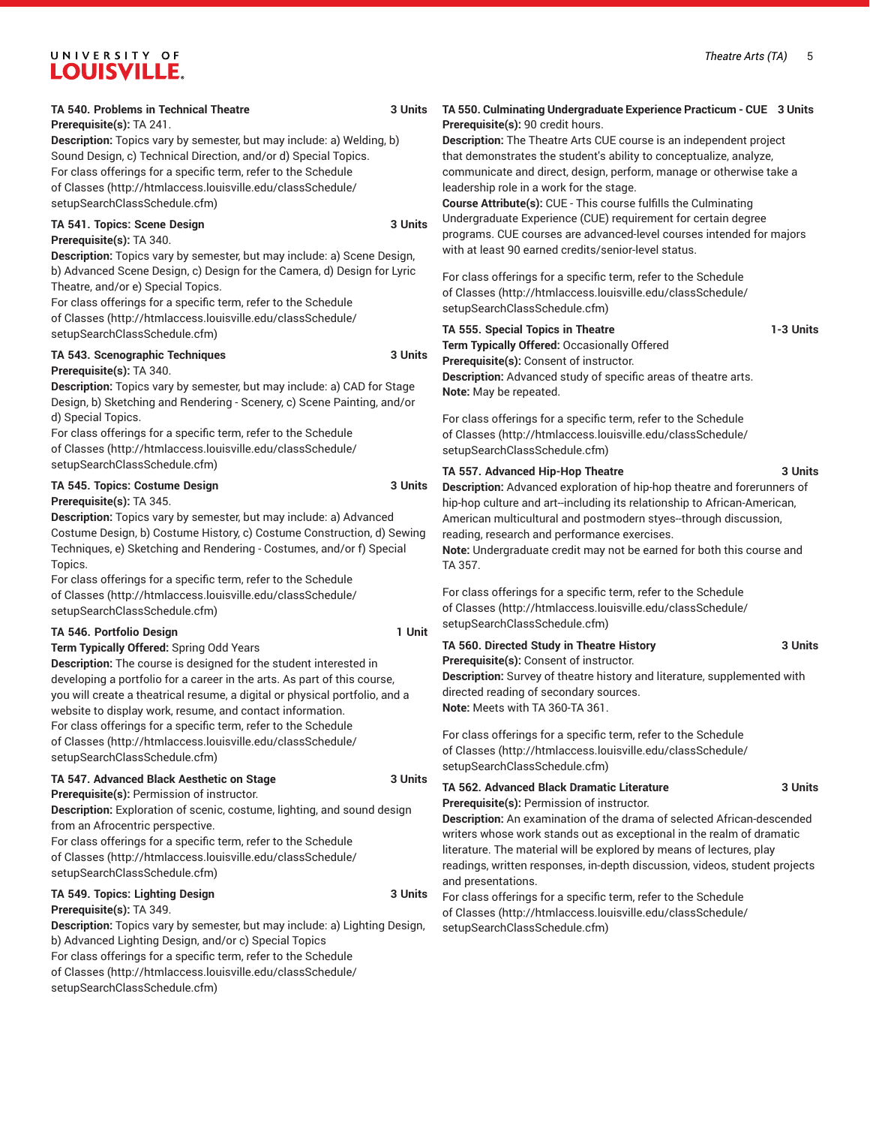#### UNIVERSITY OF **LOUISVILLE.**

#### **TA 540. Problems in Technical Theatre 3 Units**

#### **Prerequisite(s):** TA 241.

**Description:** Topics vary by semester, but may include: a) Welding, b) Sound Design, c) Technical Direction, and/or d) Special Topics. For class offerings for a specific term, refer to the [Schedule](http://htmlaccess.louisville.edu/classSchedule/setupSearchClassSchedule.cfm) [of Classes \(http://htmlaccess.louisville.edu/classSchedule/](http://htmlaccess.louisville.edu/classSchedule/setupSearchClassSchedule.cfm) [setupSearchClassSchedule.cfm\)](http://htmlaccess.louisville.edu/classSchedule/setupSearchClassSchedule.cfm)

#### **TA 541. Topics: Scene Design 3 Units**

**Prerequisite(s):** TA 340.

**Description:** Topics vary by semester, but may include: a) Scene Design, b) Advanced Scene Design, c) Design for the Camera, d) Design for Lyric Theatre, and/or e) Special Topics.

For class offerings for a specific term, refer to the [Schedule](http://htmlaccess.louisville.edu/classSchedule/setupSearchClassSchedule.cfm) [of Classes \(http://htmlaccess.louisville.edu/classSchedule/](http://htmlaccess.louisville.edu/classSchedule/setupSearchClassSchedule.cfm) [setupSearchClassSchedule.cfm\)](http://htmlaccess.louisville.edu/classSchedule/setupSearchClassSchedule.cfm)

#### **TA 543. Scenographic Techniques 3 Units Prerequisite(s):** TA 340.

**Description:** Topics vary by semester, but may include: a) CAD for Stage Design, b) Sketching and Rendering - Scenery, c) Scene Painting, and/or d) Special Topics.

For class offerings for a specific term, refer to the [Schedule](http://htmlaccess.louisville.edu/classSchedule/setupSearchClassSchedule.cfm) [of Classes \(http://htmlaccess.louisville.edu/classSchedule/](http://htmlaccess.louisville.edu/classSchedule/setupSearchClassSchedule.cfm) [setupSearchClassSchedule.cfm\)](http://htmlaccess.louisville.edu/classSchedule/setupSearchClassSchedule.cfm)

#### **TA 545. Topics: Costume Design 3 Units Prerequisite(s):** TA 345.

**Description:** Topics vary by semester, but may include: a) Advanced Costume Design, b) Costume History, c) Costume Construction, d) Sewing Techniques, e) Sketching and Rendering - Costumes, and/or f) Special Topics.

For class offerings for a specific term, refer to the [Schedule](http://htmlaccess.louisville.edu/classSchedule/setupSearchClassSchedule.cfm) [of Classes \(http://htmlaccess.louisville.edu/classSchedule/](http://htmlaccess.louisville.edu/classSchedule/setupSearchClassSchedule.cfm) [setupSearchClassSchedule.cfm\)](http://htmlaccess.louisville.edu/classSchedule/setupSearchClassSchedule.cfm)

#### **TA 546. Portfolio Design 1 Unit**

**Term Typically Offered:** Spring Odd Years

**Description:** The course is designed for the student interested in developing a portfolio for a career in the arts. As part of this course, you will create a theatrical resume, a digital or physical portfolio, and a website to display work, resume, and contact information. For class offerings for a specific term, refer to the [Schedule](http://htmlaccess.louisville.edu/classSchedule/setupSearchClassSchedule.cfm) [of Classes \(http://htmlaccess.louisville.edu/classSchedule/](http://htmlaccess.louisville.edu/classSchedule/setupSearchClassSchedule.cfm) [setupSearchClassSchedule.cfm\)](http://htmlaccess.louisville.edu/classSchedule/setupSearchClassSchedule.cfm)

#### **TA 547. Advanced Black Aesthetic on Stage 3 Units**

**Prerequisite(s):** Permission of instructor.

**Description:** Exploration of scenic, costume, lighting, and sound design from an Afrocentric perspective.

For class offerings for a specific term, refer to the [Schedule](http://htmlaccess.louisville.edu/classSchedule/setupSearchClassSchedule.cfm) [of Classes \(http://htmlaccess.louisville.edu/classSchedule/](http://htmlaccess.louisville.edu/classSchedule/setupSearchClassSchedule.cfm) [setupSearchClassSchedule.cfm\)](http://htmlaccess.louisville.edu/classSchedule/setupSearchClassSchedule.cfm)

#### **TA 549. Topics: Lighting Design 3 Units Prerequisite(s):** TA 349.

**Description:** Topics vary by semester, but may include: a) Lighting Design, b) Advanced Lighting Design, and/or c) Special Topics For class offerings for a specific term, refer to the [Schedule](http://htmlaccess.louisville.edu/classSchedule/setupSearchClassSchedule.cfm) [of Classes \(http://htmlaccess.louisville.edu/classSchedule/](http://htmlaccess.louisville.edu/classSchedule/setupSearchClassSchedule.cfm) [setupSearchClassSchedule.cfm\)](http://htmlaccess.louisville.edu/classSchedule/setupSearchClassSchedule.cfm)

#### **TA 550. Culminating Undergraduate Experience Practicum - CUE 3 Units Prerequisite(s):** 90 credit hours.

**Description:** The Theatre Arts CUE course is an independent project that demonstrates the student's ability to conceptualize, analyze, communicate and direct, design, perform, manage or otherwise take a leadership role in a work for the stage.

**Course Attribute(s):** CUE - This course fulfills the Culminating Undergraduate Experience (CUE) requirement for certain degree programs. CUE courses are advanced-level courses intended for majors with at least 90 earned credits/senior-level status.

For class offerings for a specific term, refer to the [Schedule](http://htmlaccess.louisville.edu/classSchedule/setupSearchClassSchedule.cfm) [of Classes](http://htmlaccess.louisville.edu/classSchedule/setupSearchClassSchedule.cfm) ([http://htmlaccess.louisville.edu/classSchedule/](http://htmlaccess.louisville.edu/classSchedule/setupSearchClassSchedule.cfm) [setupSearchClassSchedule.cfm\)](http://htmlaccess.louisville.edu/classSchedule/setupSearchClassSchedule.cfm)

#### **TA 555. Special Topics in Theatre 1-3 Units**

**Term Typically Offered:** Occasionally Offered **Prerequisite(s):** Consent of instructor. **Description:** Advanced study of specific areas of theatre arts. **Note:** May be repeated.

For class offerings for a specific term, refer to the [Schedule](http://htmlaccess.louisville.edu/classSchedule/setupSearchClassSchedule.cfm) [of Classes](http://htmlaccess.louisville.edu/classSchedule/setupSearchClassSchedule.cfm) ([http://htmlaccess.louisville.edu/classSchedule/](http://htmlaccess.louisville.edu/classSchedule/setupSearchClassSchedule.cfm) [setupSearchClassSchedule.cfm\)](http://htmlaccess.louisville.edu/classSchedule/setupSearchClassSchedule.cfm)

#### **TA 557. Advanced Hip-Hop Theatre 3 Units**

**Description:** Advanced exploration of hip-hop theatre and forerunners of hip-hop culture and art--including its relationship to African-American, American multicultural and postmodern styes--through discussion, reading, research and performance exercises. **Note:** Undergraduate credit may not be earned for both this course and

TA 357.

For class offerings for a specific term, refer to the [Schedule](http://htmlaccess.louisville.edu/classSchedule/setupSearchClassSchedule.cfm) [of Classes](http://htmlaccess.louisville.edu/classSchedule/setupSearchClassSchedule.cfm) ([http://htmlaccess.louisville.edu/classSchedule/](http://htmlaccess.louisville.edu/classSchedule/setupSearchClassSchedule.cfm) [setupSearchClassSchedule.cfm\)](http://htmlaccess.louisville.edu/classSchedule/setupSearchClassSchedule.cfm)

**TA 560. Directed Study in Theatre History 3 Units Prerequisite(s):** Consent of instructor. **Description:** Survey of theatre history and literature, supplemented with

directed reading of secondary sources. **Note:** Meets with TA 360-TA 361. For class offerings for a specific term, refer to the [Schedule](http://htmlaccess.louisville.edu/classSchedule/setupSearchClassSchedule.cfm)

[of Classes](http://htmlaccess.louisville.edu/classSchedule/setupSearchClassSchedule.cfm) ([http://htmlaccess.louisville.edu/classSchedule/](http://htmlaccess.louisville.edu/classSchedule/setupSearchClassSchedule.cfm) [setupSearchClassSchedule.cfm\)](http://htmlaccess.louisville.edu/classSchedule/setupSearchClassSchedule.cfm)

#### **TA 562. Advanced Black Dramatic Literature 3 Units**

**Prerequisite(s):** Permission of instructor.

**Description:** An examination of the drama of selected African-descended writers whose work stands out as exceptional in the realm of dramatic literature. The material will be explored by means of lectures, play readings, written responses, in-depth discussion, videos, student projects and presentations.